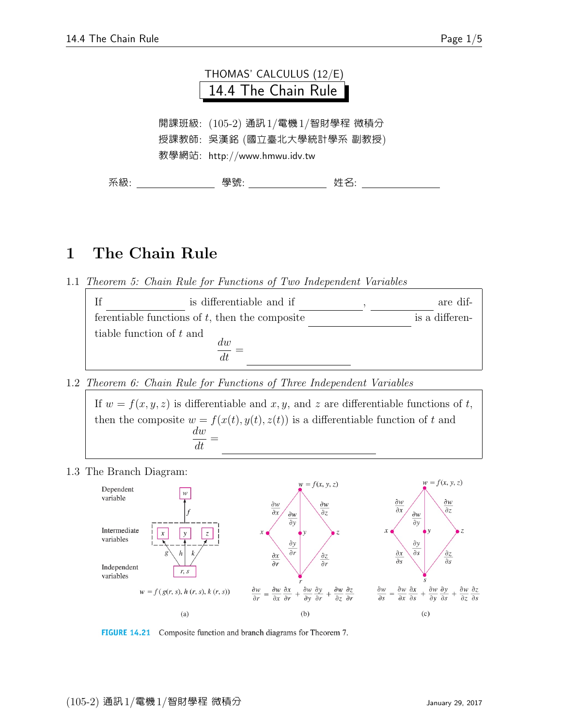

## 1 The Chain Rule

1.1 Theorem 5: Chain Rule for Functions of Two Independent Variables

| <sup>If</sup>            | is differentiable and if                          |  | are dif-       |
|--------------------------|---------------------------------------------------|--|----------------|
|                          | ferentiable functions of $t$ , then the composite |  | is a differen- |
| tiable function of t and | dw                                                |  |                |

1.2 Theorem 6: Chain Rule for Functions of Three Independent Variables

If  $w = f(x, y, z)$  is differentiable and x, y, and z are differentiable functions of t, then the composite  $w = f(x(t), y(t), z(t))$  is a differentiable function of t and dw  $\frac{d}{dt}$ 

1.3 The Branch Diagram:



FIGURE 14.21 Composite function and branch diagrams for Theorem 7.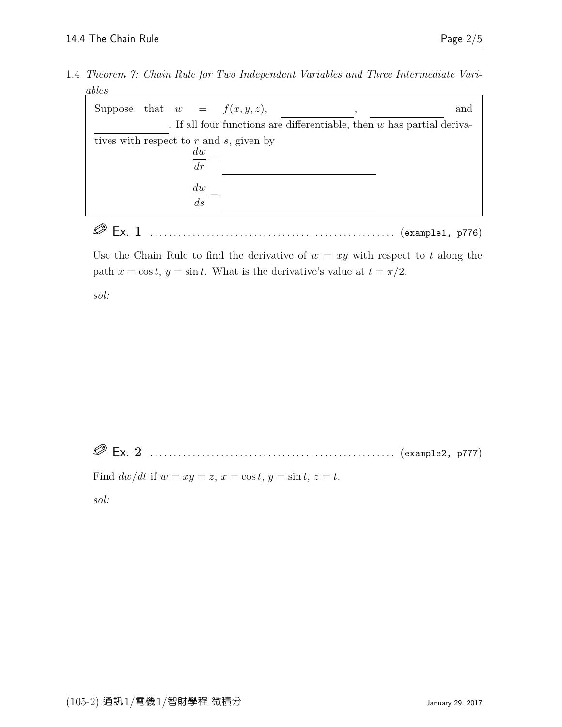1.4 Theorem 7: Chain Rule for Two Independent Variables and Three Intermediate Variables

|                                         |  |  |                                 | Suppose that $w = f(x, y, z)$ , |  | and                                                                      |  |  |
|-----------------------------------------|--|--|---------------------------------|---------------------------------|--|--------------------------------------------------------------------------|--|--|
|                                         |  |  |                                 |                                 |  | . If all four functions are differentiable, then $w$ has partial deriva- |  |  |
| tives with respect to r and s, given by |  |  |                                 |                                 |  |                                                                          |  |  |
|                                         |  |  | $\frac{dw}{2}$<br>$\frac{dr}{}$ |                                 |  |                                                                          |  |  |
|                                         |  |  |                                 |                                 |  |                                                                          |  |  |
|                                         |  |  | dw                              |                                 |  |                                                                          |  |  |
|                                         |  |  | $\overline{ds}$                 |                                 |  |                                                                          |  |  |

Ex. 1 . . . . . . . . . . . . . . . . . . . . . . . . . . . . . . . . . . . . . . . . . . . . . . . . . . . . (example1, p776)

Use the Chain Rule to find the derivative of  $w = xy$  with respect to t along the path  $x = \cos t$ ,  $y = \sin t$ . What is the derivative's value at  $t = \pi/2$ .

sol:

Ex. 2 . . . . . . . . . . . . . . . . . . . . . . . . . . . . . . . . . . . . . . . . . . . . . . . . . . . . (example2, p777)

Find  $dw/dt$  if  $w = xy = z$ ,  $x = \cos t$ ,  $y = \sin t$ ,  $z = t$ .

sol: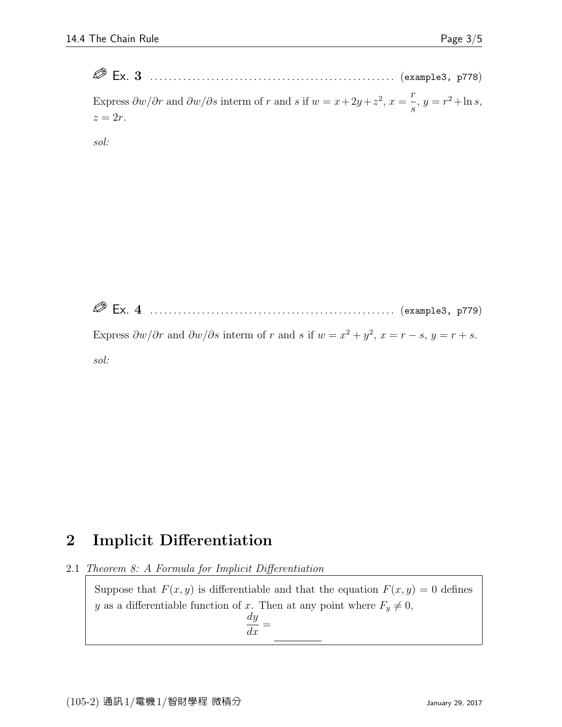Ex. 3 . . . . . . . . . . . . . . . . . . . . . . . . . . . . . . . . . . . . . . . . . . . . . . . . . . . . (example3, p778) Express  $\frac{\partial w}{\partial r}$  and  $\frac{\partial w}{\partial s}$  interm of r and s if  $w = x + 2y + z^2$ ,  $x =$ r s  $, y = r^2 + \ln s,$  $z=2r$ .

sol:

 Ex. 4 . . . . . . . . . . . . . . . . . . . . . . . . . . . . . . . . . . . . . . . . . . . . . . . . . . . . (example3, p779) Express  $\frac{\partial w}{\partial r}$  and  $\frac{\partial w}{\partial s}$  interm of r and s if  $w = x^2 + y^2$ ,  $x = r - s$ ,  $y = r + s$ . sol:

## 2 Implicit Differentiation

2.1 Theorem 8: A Formula for Implicit Differentiation

Suppose that  $F(x, y)$  is differentiable and that the equation  $F(x, y) = 0$  defines y as a differentiable function of x. Then at any point where  $F_y \neq 0$ , dy  $\frac{dy}{dx} =$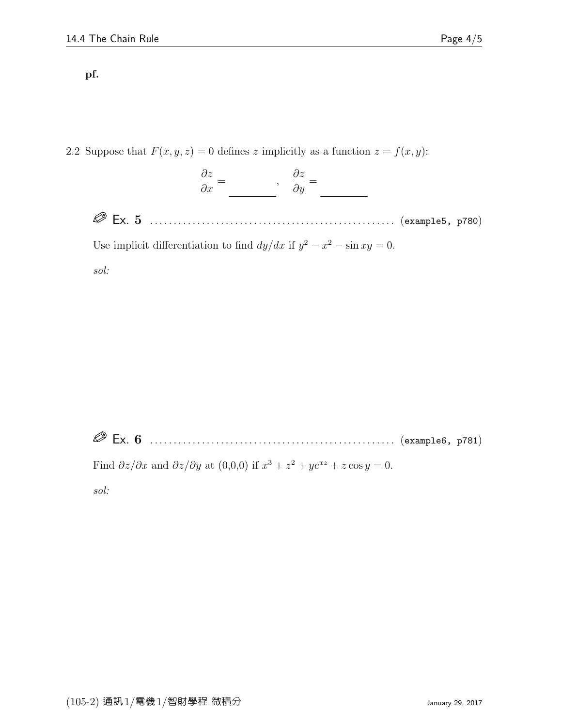## pf.

2.2 Suppose that  $F(x, y, z) = 0$  defines z implicitly as a function  $z = f(x, y)$ :

$$
\frac{\partial z}{\partial x} = \underline{\hspace{1cm}}, \quad \frac{\partial z}{\partial y} = \underline{\hspace{1cm}}
$$

 Ex. 5 . . . . . . . . . . . . . . . . . . . . . . . . . . . . . . . . . . . . . . . . . . . . . . . . . . . . (example5, p780) Use implicit differentiation to find  $dy/dx$  if  $y^2 - x^2 - \sin xy = 0$ .

sol:

 Ex. 6 . . . . . . . . . . . . . . . . . . . . . . . . . . . . . . . . . . . . . . . . . . . . . . . . . . . . (example6, p781) Find  $\partial z/\partial x$  and  $\partial z/\partial y$  at  $(0,0,0)$  if  $x^3 + z^2 + ye^{xz} + z \cos y = 0$ .

sol: